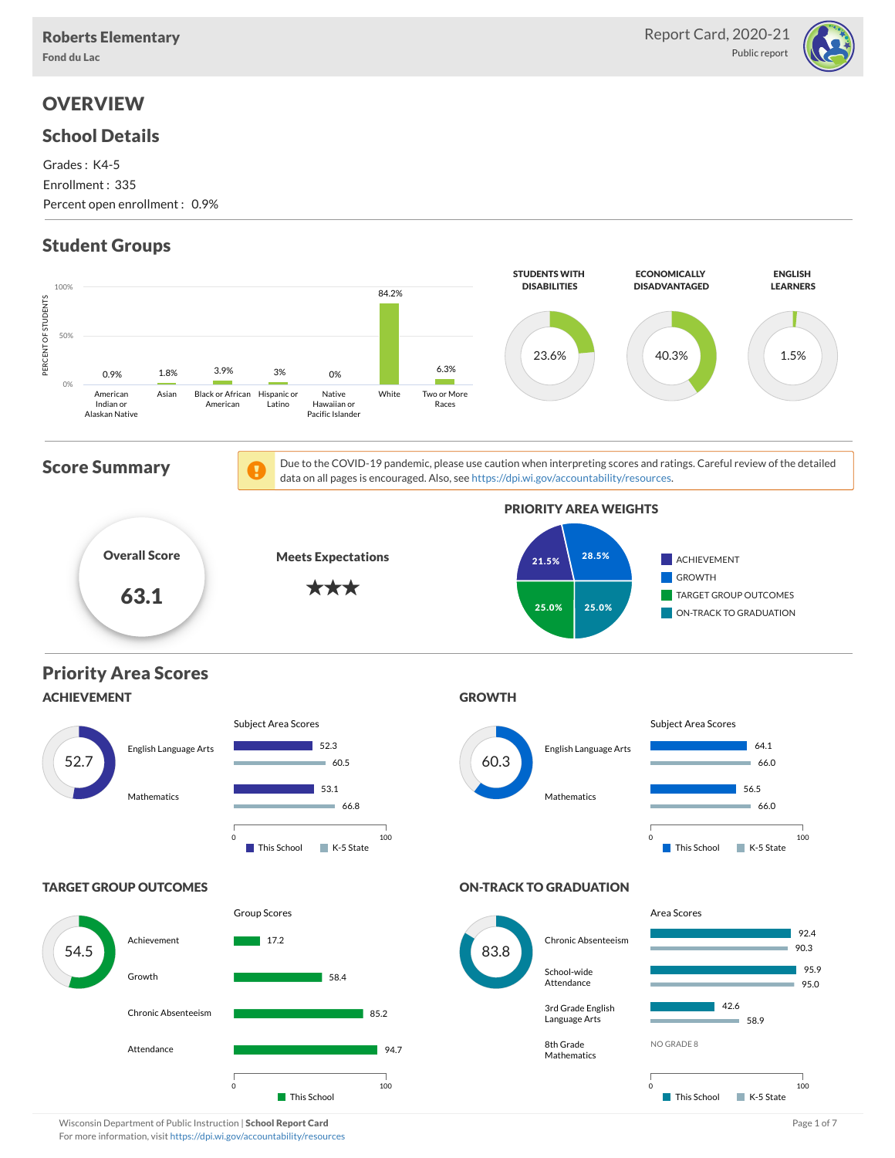

# **OVERVIEW**

### School Details

Grades : K4-5 Enrollment : 335 Percent open enrollment : 0.9%

# Student Groups

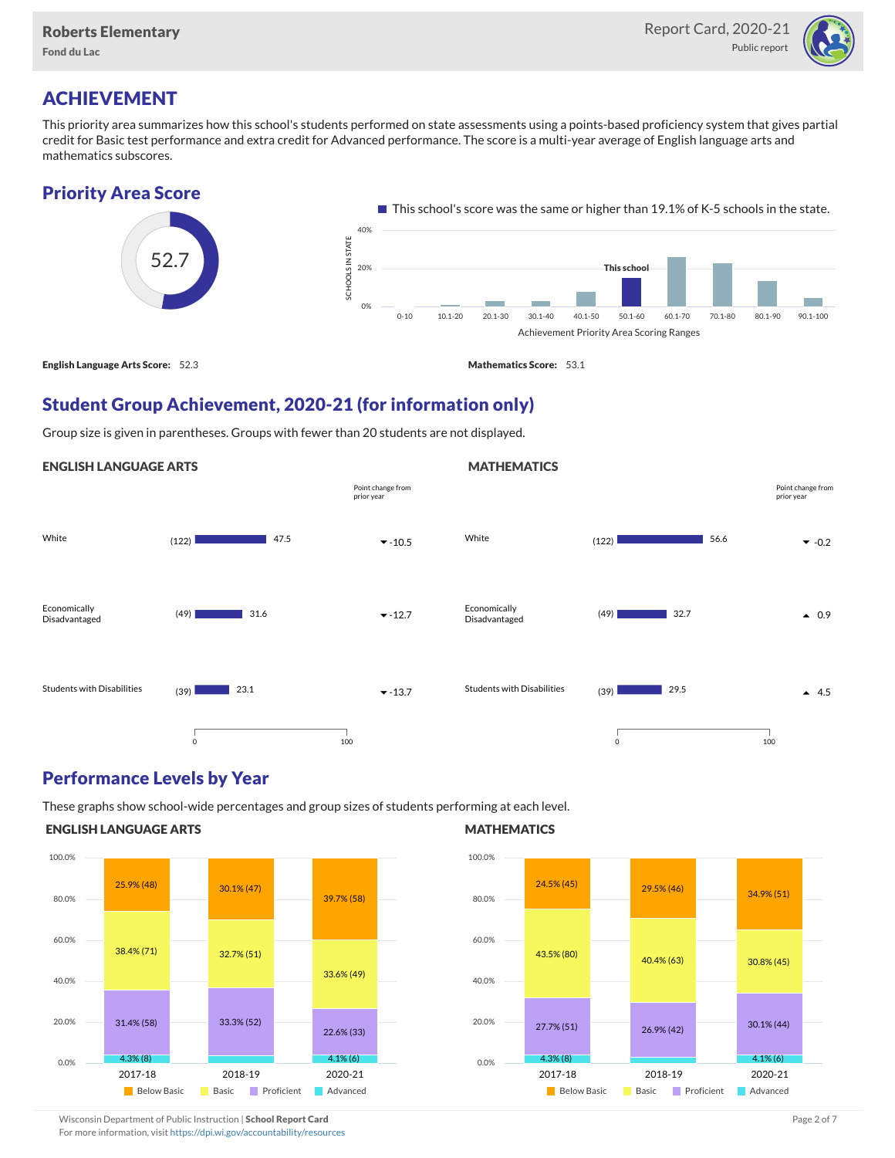

## ACHIEVEMENT

This priority area summarizes how this school's students performed on state assessments using a points-based proficiency system that gives partial credit for Basic test performance and extra credit for Advanced performance. The score is a multi-year average of English language arts and mathematics subscores.

### Priority Area Score



### Student Group Achievement, 2020-21 (for information only)

Group size is given in parentheses. Groups with fewer than 20 students are not displayed.

#### ENGLISH LANGUAGE ARTS



### Performance Levels by Year

These graphs show school-wide percentages and group sizes of students performing at each level.

#### ENGLISH LANGUAGE ARTS



#### **MATHEMATICS**

**MATHEMATICS** 



Wisconsin Department of Public Instruction | School Report Card Page 2 of 7 and 2008 and 2009 and 2 of 7 and 2 of 7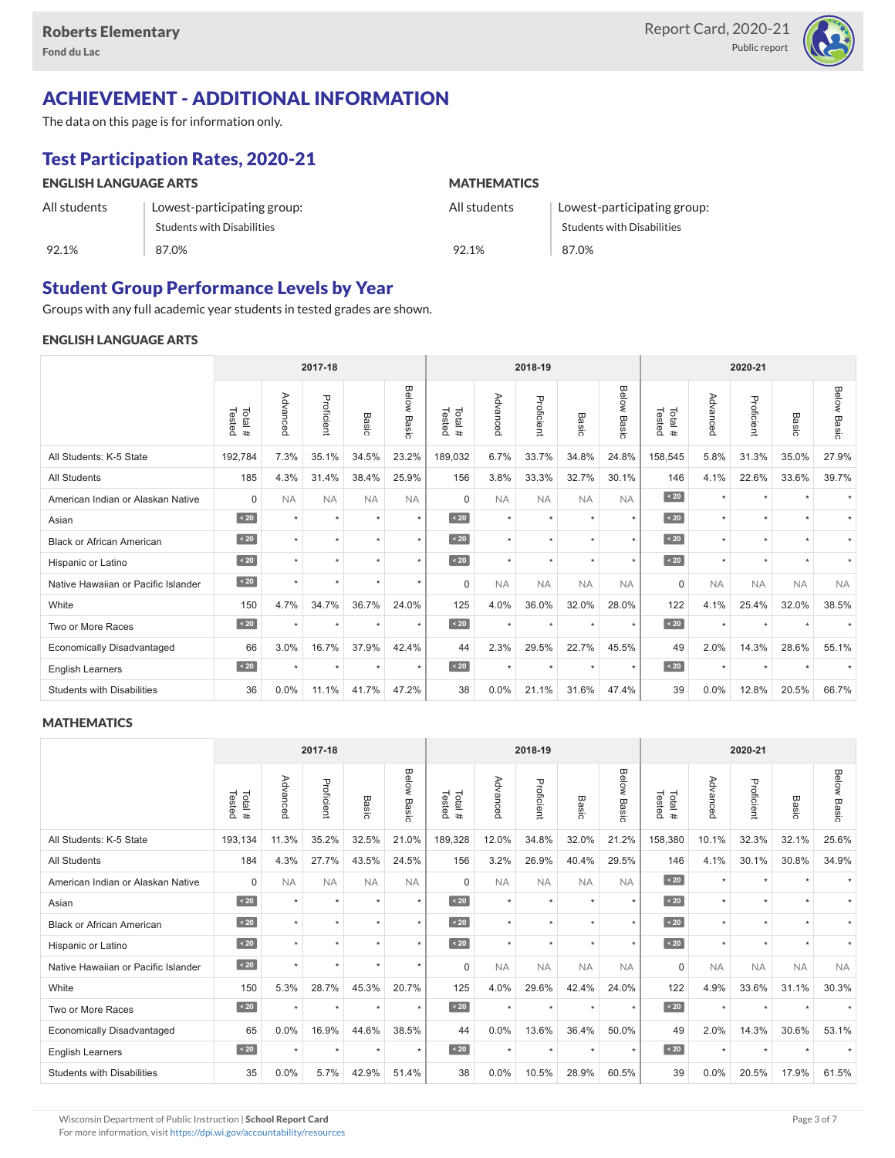

# ACHIEVEMENT - ADDITIONAL INFORMATION

The data on this page is for information only.

# Test Participation Rates, 2020-21

| <b>ENGLISH LANGUAGE ARTS</b> |                                   | <b>MATHEMATICS</b> |                             |  |  |  |  |
|------------------------------|-----------------------------------|--------------------|-----------------------------|--|--|--|--|
| All students                 | Lowest-participating group:       | All students       | Lowest-participating group: |  |  |  |  |
|                              | <b>Students with Disabilities</b> |                    | Students with Disabilities  |  |  |  |  |
| 92.1%                        | 87.0%                             | 92.1%              | 87.0%                       |  |  |  |  |

### Student Group Performance Levels by Year

Groups with any full academic year students in tested grades are shown.

### ENGLISH LANGUAGE ARTS

|                                     | 2017-18          |           |            |           |                |                  |           | 2018-19    |           |                | 2020-21          |           |            |                      |                    |
|-------------------------------------|------------------|-----------|------------|-----------|----------------|------------------|-----------|------------|-----------|----------------|------------------|-----------|------------|----------------------|--------------------|
|                                     | Tested<br>Total# | Advanced  | Proficient | Basic     | Below<br>Basic | Tested<br>Total# | Advanced  | Proficient | Basic     | Below<br>Basic | Tested<br>Total# | Advanced  | Proficient | Basic                | <b>Below Basic</b> |
| All Students: K-5 State             | 192,784          | 7.3%      | 35.1%      | 34.5%     | 23.2%          | 189,032          | 6.7%      | 33.7%      | 34.8%     | 24.8%          | 158,545          | 5.8%      | 31.3%      | 35.0%                | 27.9%              |
| <b>All Students</b>                 | 185              | 4.3%      | 31.4%      | 38.4%     | 25.9%          | 156              | 3.8%      | 33.3%      | 32.7%     | 30.1%          | 146              | 4.1%      | 22.6%      | 33.6%                | 39.7%              |
| American Indian or Alaskan Native   | $\Omega$         | <b>NA</b> | <b>NA</b>  | <b>NA</b> | <b>NA</b>      | $\Omega$         | <b>NA</b> | <b>NA</b>  | <b>NA</b> | <b>NA</b>      | $\sim 20$        | $\star$   | $\star$    | $\ddot{}$            |                    |
| Asian                               | $\sim 20$        | $\star$   | $\star$    | $\star$   | $\star$        | $\angle 20$      | $\star$   | $\star$    | $\star$   | $\star$        | $\sim 20$        | $\star$   | $\star$    | $\star$              |                    |
| <b>Black or African American</b>    | $\angle 20$      | $\star$   | $\star$    | ٠         | $\star$        | $\sim 20$        | $\star$   | $\star$    | $\star$   | $\star$        | $\sim 20$        | $\star$   | $\star$    | $\ddot{\phantom{1}}$ |                    |
| Hispanic or Latino                  | $\sim 20$        | $\star$   | $\star$    |           | $\star$        | $\angle 20$      | $\star$   | $\star$    |           | $\star$        | $\sim 20$        | $\star$   | $\star$    |                      |                    |
| Native Hawaiian or Pacific Islander | $\sim 20$        | $\star$   | $\star$    | $\star$   | $\star$        | $\Omega$         | <b>NA</b> | <b>NA</b>  | <b>NA</b> | <b>NA</b>      | $\Omega$         | <b>NA</b> | <b>NA</b>  | <b>NA</b>            | <b>NA</b>          |
| White                               | 150              | 4.7%      | 34.7%      | 36.7%     | 24.0%          | 125              | 4.0%      | 36.0%      | 32.0%     | 28.0%          | 122              | 4.1%      | 25.4%      | 32.0%                | 38.5%              |
| Two or More Races                   | $\sim 20$        | $\star$   | $\star$    | $\star$   | $\star$        | $\sim 20$        | $\star$   | $\star$    |           | $\star$        | $\sim 20$        | $\star$   | $\star$    |                      |                    |
| <b>Economically Disadvantaged</b>   | 66               | 3.0%      | 16.7%      | 37.9%     | 42.4%          | 44               | 2.3%      | 29.5%      | 22.7%     | 45.5%          | 49               | 2.0%      | 14.3%      | 28.6%                | 55.1%              |
| <b>English Learners</b>             | $\sim 20$        |           | $\star$    | $\star$   | $\star$        | $\sim 20$        | $\star$   | $\star$    | $\star$   | $\star$        | $\angle 20$      | $\star$   | $\star$    |                      |                    |
| <b>Students with Disabilities</b>   | 36               | 0.0%      | 11.1%      | 41.7%     | 47.2%          | 38               | 0.0%      | 21.1%      | 31.6%     | 47.4%          | 39               | 0.0%      | 12.8%      | 20.5%                | 66.7%              |

#### **MATHEMATICS**

|                                     | 2017-18           |           |            |           |                       |                   |           | 2018-19    |           |                       | 2020-21           |           |            |           |                    |
|-------------------------------------|-------------------|-----------|------------|-----------|-----------------------|-------------------|-----------|------------|-----------|-----------------------|-------------------|-----------|------------|-----------|--------------------|
|                                     | Tested<br>Total # | Advanced  | Proficient | Basic     | Below<br><b>Basic</b> | Total #<br>Tested | Advanced  | Proficient | Basic     | <b>Below</b><br>Basic | Tested<br>Total # | Advanced  | Proficient | Basic     | <b>Below Basic</b> |
| All Students: K-5 State             | 193,134           | 11.3%     | 35.2%      | 32.5%     | 21.0%                 | 189,328           | 12.0%     | 34.8%      | 32.0%     | 21.2%                 | 158,380           | 10.1%     | 32.3%      | 32.1%     | 25.6%              |
| <b>All Students</b>                 | 184               | 4.3%      | 27.7%      | 43.5%     | 24.5%                 | 156               | 3.2%      | 26.9%      | 40.4%     | 29.5%                 | 146               | 4.1%      | 30.1%      | 30.8%     | 34.9%              |
| American Indian or Alaskan Native   | $\mathbf 0$       | <b>NA</b> | <b>NA</b>  | <b>NA</b> | <b>NA</b>             | $\Omega$          | <b>NA</b> | <b>NA</b>  | <b>NA</b> | <b>NA</b>             | $\sim 20$         | $\star$   | $\star$    |           |                    |
| Asian                               | $\angle 20$       | $\star$   | $\star$    | $\star$   | $\star$               | $\angle 20$       | $\star$   | $\star$    | $\star$   | $\star$               | $\angle 20$       | $\star$   | $\star$    | $\star$   |                    |
| <b>Black or African American</b>    | $\angle 20$       | $\star$   | $\star$    | $\star$   | $\star$               | $\angle 20$       | $\star$   | $\star$    | $\star$   | $\star$               | $\overline{20}$   | $\star$   | $\star$    | $\ddot{}$ |                    |
| Hispanic or Latino                  | $\angle 20$       | $\star$   | $\star$    | $\star$   | $\star$               | $\overline{320}$  | $\star$   | $\star$    | $\star$   | $\star$               | $\sim 20$         | $\star$   | $\star$    |           |                    |
| Native Hawaiian or Pacific Islander | $\angle 20$       | $\star$   | $\star$    | ÷         | $\star$               | $\Omega$          | <b>NA</b> | <b>NA</b>  | <b>NA</b> | <b>NA</b>             | $\mathbf 0$       | <b>NA</b> | <b>NA</b>  | <b>NA</b> | <b>NA</b>          |
| White                               | 150               | 5.3%      | 28.7%      | 45.3%     | 20.7%                 | 125               | 4.0%      | 29.6%      | 42.4%     | 24.0%                 | 122               | 4.9%      | 33.6%      | 31.1%     | 30.3%              |
| Two or More Races                   | $\angle 20$       | $\star$   | $\star$    | $\star$   | $\star$               | $\sim 20$         | $\star$   | $\star$    | $\star$   | $\star$               | $\sim 20$         | $\star$   | $\star$    |           |                    |
| <b>Economically Disadvantaged</b>   | 65                | 0.0%      | 16.9%      | 44.6%     | 38.5%                 | 44                | 0.0%      | 13.6%      | 36.4%     | 50.0%                 | 49                | 2.0%      | 14.3%      | 30.6%     | 53.1%              |
| English Learners                    | $\angle 20$       | $\star$   | $\star$    | $\star$   | $\star$               | $\angle 20$       | $\star$   | $\star$    | $\star$   | $\star$               | $\angle 20$       | $\star$   | $\star$    |           |                    |
| <b>Students with Disabilities</b>   | 35                | 0.0%      | 5.7%       | 42.9%     | 51.4%                 | 38                | 0.0%      | 10.5%      | 28.9%     | 60.5%                 | 39                | 0.0%      | 20.5%      | 17.9%     | 61.5%              |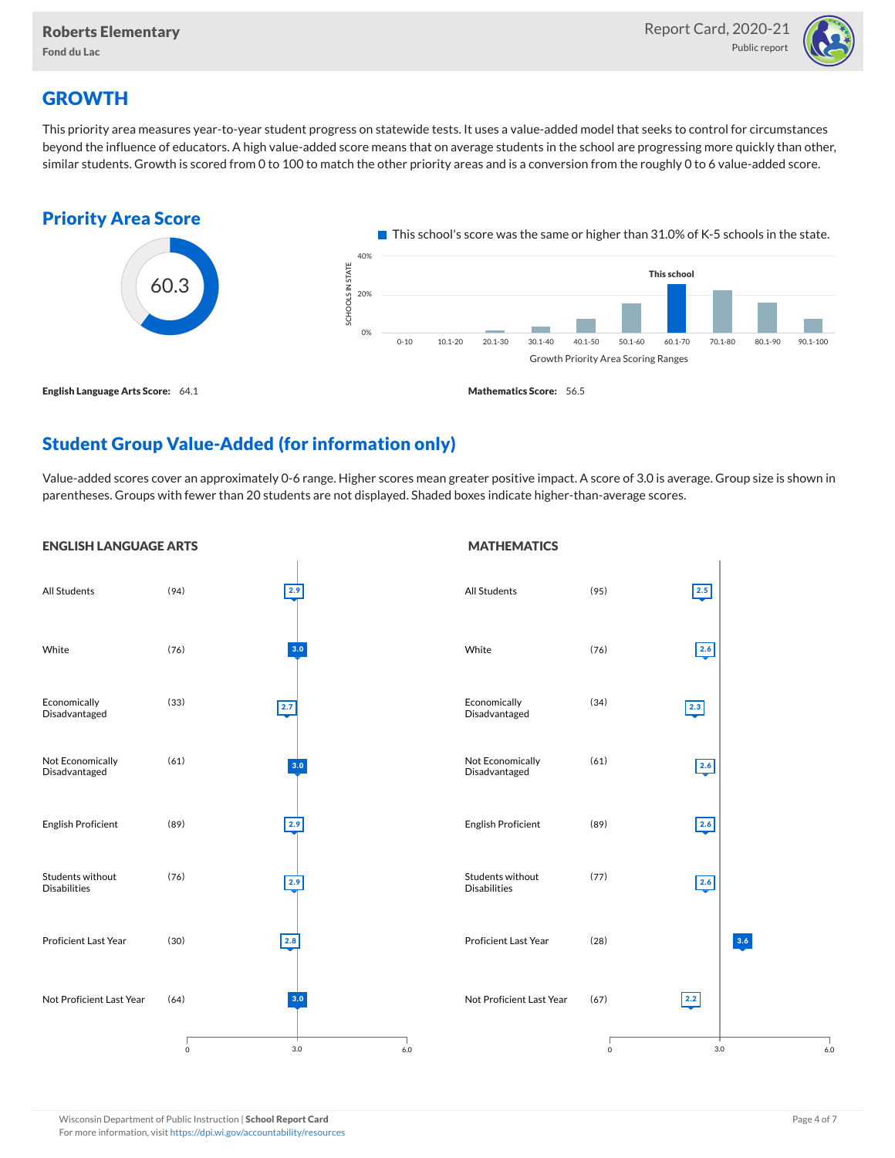

### **GROWTH**

This priority area measures year-to-year student progress on statewide tests. It uses a value-added model that seeks to control for circumstances beyond the influence of educators. A high value-added score means that on average students in the school are progressing more quickly than other, similar students. Growth is scored from 0 to 100 to match the other priority areas and is a conversion from the roughly 0 to 6 value-added score.



### Student Group Value-Added (for information only)

Value-added scores cover an approximately 0-6 range. Higher scores mean greater positive impact. A score of 3.0 is average. Group size is shown in parentheses. Groups with fewer than 20 students are not displayed. Shaded boxes indicate higher-than-average scores.

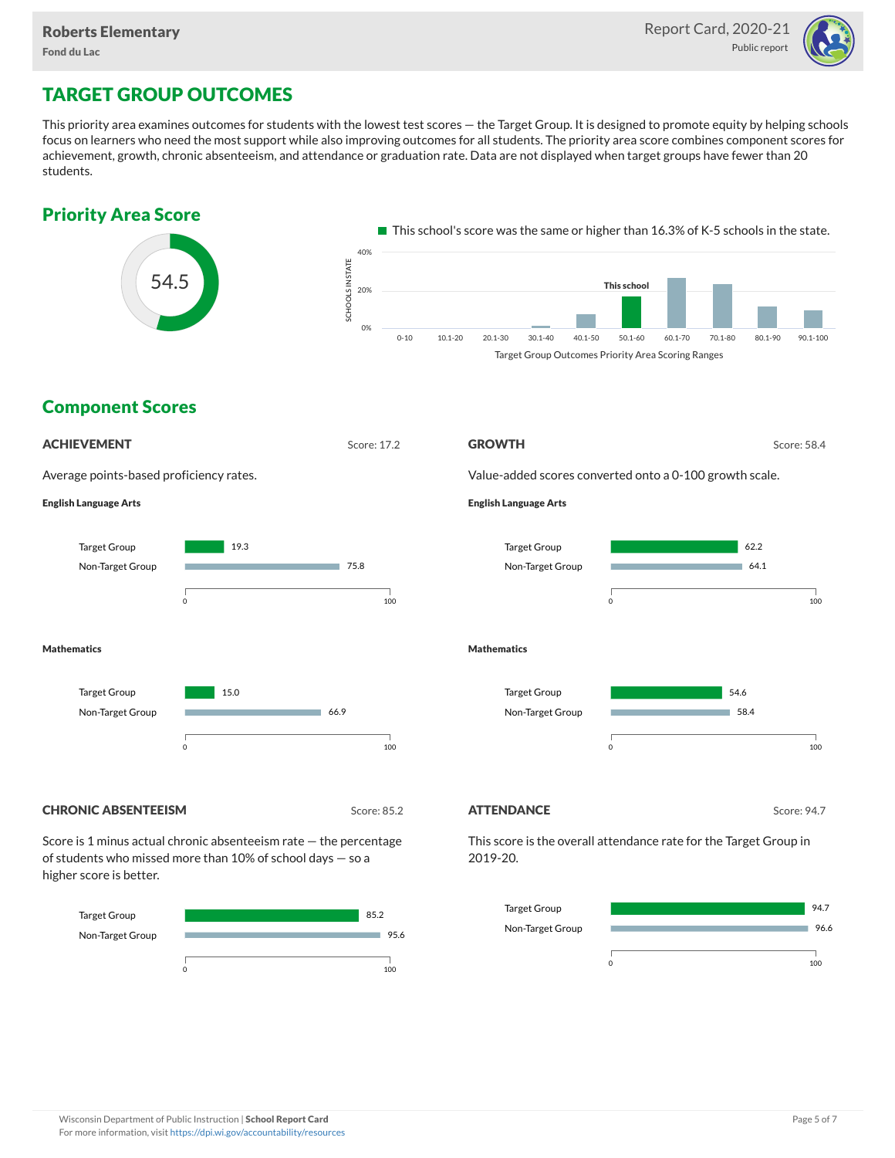

# TARGET GROUP OUTCOMES

This priority area examines outcomes for students with the lowest test scores — the Target Group. It is designed to promote equity by helping schools focus on learners who need the most support while also improving outcomes for all students. The priority area score combines component scores for achievement, growth, chronic absenteeism, and attendance or graduation rate. Data are not displayed when target groups have fewer than 20 students.





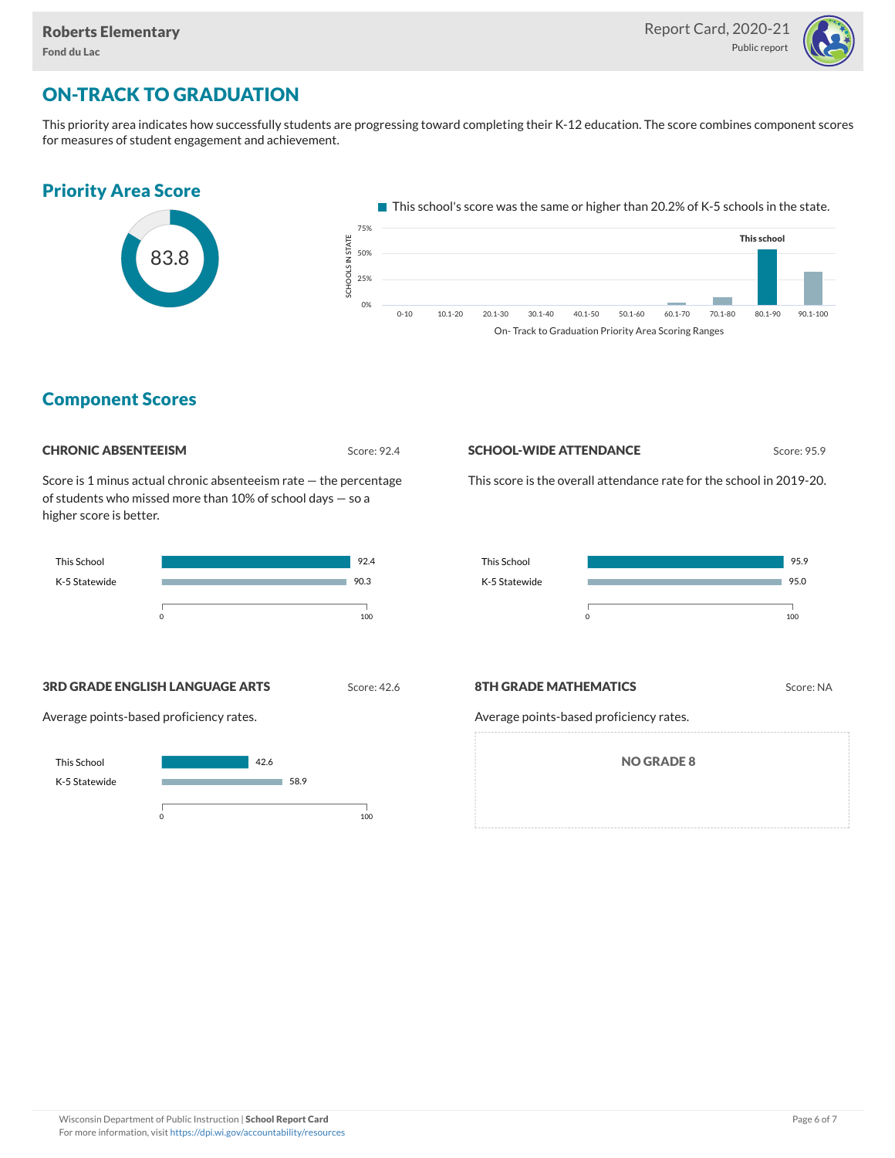

## ON-TRACK TO GRADUATION

This priority area indicates how successfully students are progressing toward completing their K-12 education. The score combines component scores for measures of student engagement and achievement.

# Priority Area Score



This school's score was the same or higher than 20.2% of K-5 schools in the state.



### Component Scores

| <b>CHRONIC ABSENTEEISM</b> |
|----------------------------|
|                            |

Score: 92.4

Score is 1 minus actual chronic absenteeism rate — the percentage of students who missed more than 10% of school days — so a higher score is better.



#### **SCHOOL-WIDE ATTENDANCE** Score: 95.9

This score is the overall attendance rate for the school in 2019-20.



**3RD GRADE ENGLISH LANGUAGE ARTS** Score: 42.6

Average points-based proficiency rates.



#### **8TH GRADE MATHEMATICS** Score: NA

Average points-based proficiency rates.

NO GRADE 8